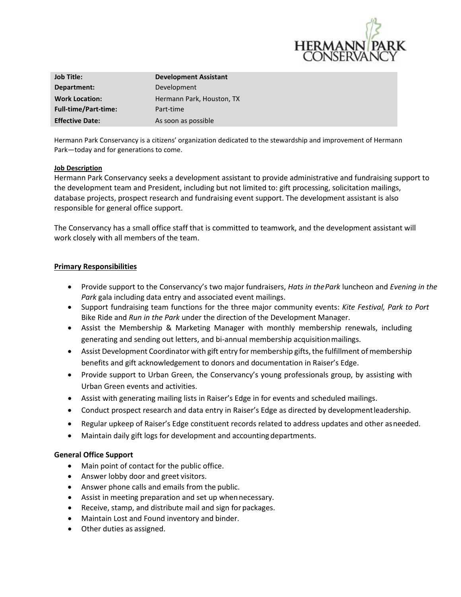

| <b>Job Title:</b>           | <b>Development Assistant</b> |
|-----------------------------|------------------------------|
| Department:                 | Development                  |
| <b>Work Location:</b>       | Hermann Park, Houston, TX    |
| <b>Full-time/Part-time:</b> | Part-time                    |
| <b>Effective Date:</b>      | As soon as possible          |

Hermann Park Conservancy is a citizens' organization dedicated to the stewardship and improvement of Hermann Park—today and for generations to come.

#### **Job Description**

Hermann Park Conservancy seeks a development assistant to provide administrative and fundraising support to the development team and President, including but not limited to: gift processing, solicitation mailings, database projects, prospect research and fundraising event support. The development assistant is also responsible for general office support.

The Conservancy has a small office staff that is committed to teamwork, and the development assistant will work closely with all members of the team.

#### **Primary Responsibilities**

- Provide support to the Conservancy's two major fundraisers, *Hats in thePark* luncheon and *Evening in the Park* gala including data entry and associated event mailings.
- Support fundraising team functions for the three major community events: *Kite Festival, Park to Port* Bike Ride and *Run in the Park* under the direction of the Development Manager.
- Assist the Membership & Marketing Manager with monthly membership renewals, including generating and sending out letters, and bi-annual membership acquisitionmailings.
- Assist Development Coordinator with gift entry for membership gifts, the fulfillment of membership benefits and gift acknowledgement to donors and documentation in Raiser's Edge.
- Provide support to Urban Green, the Conservancy's young professionals group, by assisting with Urban Green events and activities.
- Assist with generating mailing lists in Raiser's Edge in for events and scheduled mailings.
- Conduct prospect research and data entry in Raiser's Edge as directed by developmentleadership.
- Regular upkeep of Raiser's Edge constituent records related to address updates and other asneeded.
- Maintain daily gift logs for development and accounting departments.

## **General Office Support**

- Main point of contact for the public office.
- Answer lobby door and greet visitors.
- Answer phone calls and emails from the public.
- Assist in meeting preparation and set up when necessary.
- Receive, stamp, and distribute mail and sign for packages.
- Maintain Lost and Found inventory and binder.
- Other duties as assigned.